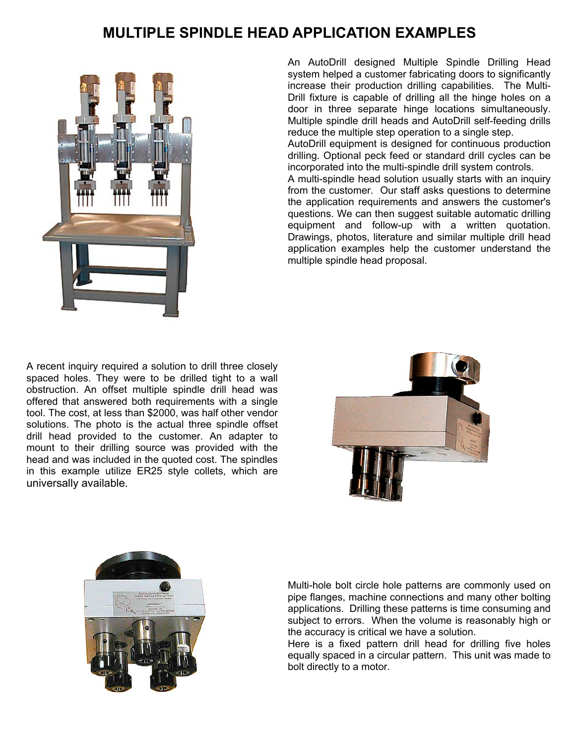## **MULTIPLE SPINDLE HEAD APPLICATION EXAMPLES**



An AutoDrill designed Multiple Spindle Drilling Head system helped a customer fabricating doors to significantly increase their production drilling capabilities. The Multi-Drill fixture is capable of drilling all the hinge holes on a door in three separate hinge locations simultaneously. Multiple spindle drill heads and AutoDrill self-feeding drills reduce the multiple step operation to a single step.

AutoDrill equipment is designed for continuous production drilling. Optional peck feed or standard drill cycles can be incorporated into the multi-spindle drill system controls.

A multi-spindle head solution usually starts with an inquiry from the customer. Our staff asks questions to determine the application requirements and answers the customer's questions. We can then suggest suitable automatic drilling equipment and follow-up with a written quotation. Drawings, photos, literature and similar multiple drill head application examples help the customer understand the multiple spindle head proposal.

A recent inquiry required a solution to drill three closely spaced holes. They were to be drilled tight to a wall obstruction. An offset multiple spindle drill head was offered that answered both requirements with a single tool. The cost, at less than \$2000, was half other vendor solutions. The photo is the actual three spindle offset drill head provided to the customer. An adapter to mount to their drilling source was provided with the head and was included in the quoted cost. The spindles in this example utilize ER25 style collets, which are universally available.





Multi-hole bolt circle hole patterns are commonly used on pipe flanges, machine connections and many other bolting applications. Drilling these patterns is time consuming and subject to errors. When the volume is reasonably high or the accuracy is critical we have a solution.

Here is a fixed pattern drill head for drilling five holes equally spaced in a circular pattern. This unit was made to bolt directly to a motor.